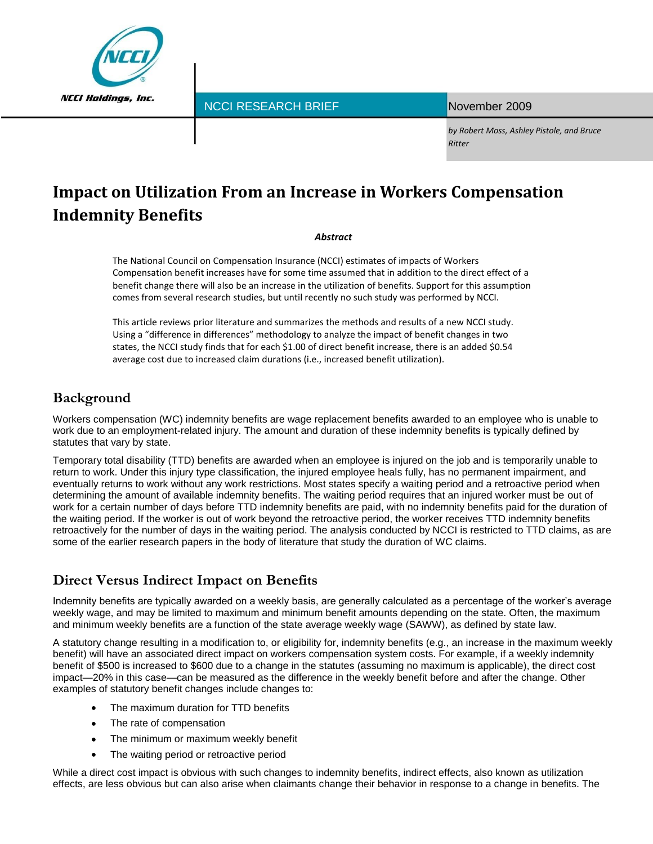

NCCI RESEARCH BRIEF

November 2009

*by Robert Moss, Ashley Pistole, and Bruce Ritter*

# **Impact on Utilization From an Increase in Workers Compensation Indemnity Benefits**

#### *Abstract*

The National Council on Compensation Insurance (NCCI) estimates of impacts of Workers Compensation benefit increases have for some time assumed that in addition to the direct effect of a benefit change there will also be an increase in the utilization of benefits. Support for this assumption comes from several research studies, but until recently no such study was performed by NCCI.

This article reviews prior literature and summarizes the methods and results of a new NCCI study. Using a "difference in differences" methodology to analyze the impact of benefit changes in two states, the NCCI study finds that for each \$1.00 of direct benefit increase, there is an added \$0.54 average cost due to increased claim durations (i.e., increased benefit utilization).

# **Background**

Workers compensation (WC) indemnity benefits are wage replacement benefits awarded to an employee who is unable to work due to an employment-related injury. The amount and duration of these indemnity benefits is typically defined by statutes that vary by state.

Temporary total disability (TTD) benefits are awarded when an employee is injured on the job and is temporarily unable to return to work. Under this injury type classification, the injured employee heals fully, has no permanent impairment, and eventually returns to work without any work restrictions. Most states specify a waiting period and a retroactive period when determining the amount of available indemnity benefits. The waiting period requires that an injured worker must be out of work for a certain number of days before TTD indemnity benefits are paid, with no indemnity benefits paid for the duration of the waiting period. If the worker is out of work beyond the retroactive period, the worker receives TTD indemnity benefits retroactively for the number of days in the waiting period. The analysis conducted by NCCI is restricted to TTD claims, as are some of the earlier research papers in the body of literature that study the duration of WC claims.

# **Direct Versus Indirect Impact on Benefits**

Indemnity benefits are typically awarded on a weekly basis, are generally calculated as a percentage of the worker's average weekly wage, and may be limited to maximum and minimum benefit amounts depending on the state. Often, the maximum and minimum weekly benefits are a function of the state average weekly wage (SAWW), as defined by state law.

A statutory change resulting in a modification to, or eligibility for, indemnity benefits (e.g., an increase in the maximum weekly benefit) will have an associated direct impact on workers compensation system costs. For example, if a weekly indemnity benefit of \$500 is increased to \$600 due to a change in the statutes (assuming no maximum is applicable), the direct cost impact—20% in this case—can be measured as the difference in the weekly benefit before and after the change. Other examples of statutory benefit changes include changes to:

- The maximum duration for TTD benefits
- The rate of compensation  $\bullet$
- The minimum or maximum weekly benefit  $\bullet$
- The waiting period or retroactive period

While a direct cost impact is obvious with such changes to indemnity benefits, indirect effects, also known as utilization effects, are less obvious but can also arise when claimants change their behavior in response to a change in benefits. The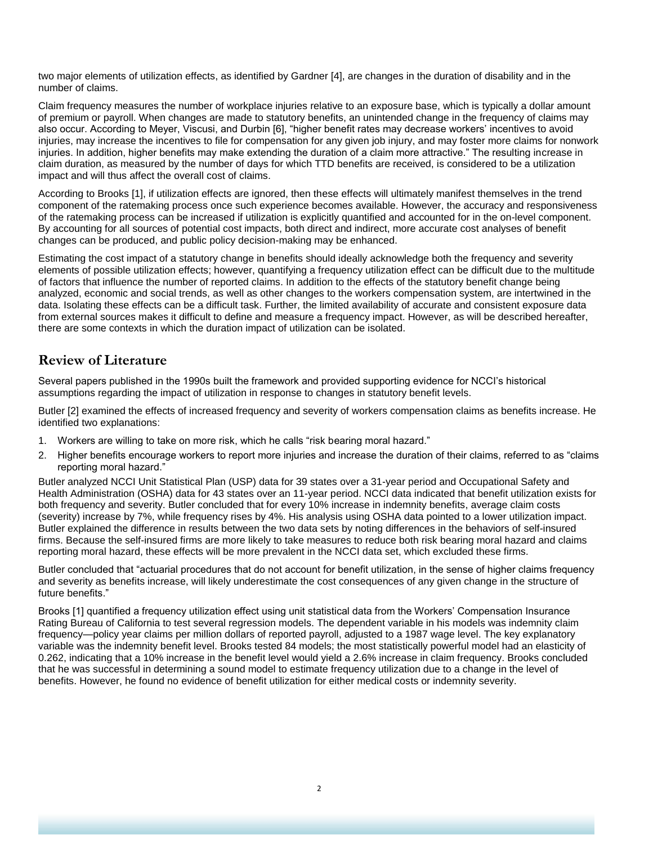two major elements of utilization effects, as identified by Gardner [4], are changes in the duration of disability and in the number of claims.

Claim frequency measures the number of workplace injuries relative to an exposure base, which is typically a dollar amount of premium or payroll. When changes are made to statutory benefits, an unintended change in the frequency of claims may also occur. According to Meyer, Viscusi, and Durbin [6], "higher benefit rates may decrease workers' incentives to avoid injuries, may increase the incentives to file for compensation for any given job injury, and may foster more claims for nonwork injuries. In addition, higher benefits may make extending the duration of a claim more attractive." The resulting increase in claim duration, as measured by the number of days for which TTD benefits are received, is considered to be a utilization impact and will thus affect the overall cost of claims.

According to Brooks [1], if utilization effects are ignored, then these effects will ultimately manifest themselves in the trend component of the ratemaking process once such experience becomes available. However, the accuracy and responsiveness of the ratemaking process can be increased if utilization is explicitly quantified and accounted for in the on-level component. By accounting for all sources of potential cost impacts, both direct and indirect, more accurate cost analyses of benefit changes can be produced, and public policy decision-making may be enhanced.

Estimating the cost impact of a statutory change in benefits should ideally acknowledge both the frequency and severity elements of possible utilization effects; however, quantifying a frequency utilization effect can be difficult due to the multitude of factors that influence the number of reported claims. In addition to the effects of the statutory benefit change being analyzed, economic and social trends, as well as other changes to the workers compensation system, are intertwined in the data. Isolating these effects can be a difficult task. Further, the limited availability of accurate and consistent exposure data from external sources makes it difficult to define and measure a frequency impact. However, as will be described hereafter, there are some contexts in which the duration impact of utilization can be isolated.

### **Review of Literature**

Several papers published in the 1990s built the framework and provided supporting evidence for NCCI's historical assumptions regarding the impact of utilization in response to changes in statutory benefit levels.

Butler [2] examined the effects of increased frequency and severity of workers compensation claims as benefits increase. He identified two explanations:

- 1. Workers are willing to take on more risk, which he calls "risk bearing moral hazard."
- 2. Higher benefits encourage workers to report more injuries and increase the duration of their claims, referred to as "claims reporting moral hazard."

Butler analyzed NCCI Unit Statistical Plan (USP) data for 39 states over a 31-year period and Occupational Safety and Health Administration (OSHA) data for 43 states over an 11-year period. NCCI data indicated that benefit utilization exists for both frequency and severity. Butler concluded that for every 10% increase in indemnity benefits, average claim costs (severity) increase by 7%, while frequency rises by 4%. His analysis using OSHA data pointed to a lower utilization impact. Butler explained the difference in results between the two data sets by noting differences in the behaviors of self-insured firms. Because the self-insured firms are more likely to take measures to reduce both risk bearing moral hazard and claims reporting moral hazard, these effects will be more prevalent in the NCCI data set, which excluded these firms.

Butler concluded that "actuarial procedures that do not account for benefit utilization, in the sense of higher claims frequency and severity as benefits increase, will likely underestimate the cost consequences of any given change in the structure of future benefits."

Brooks [1] quantified a frequency utilization effect using unit statistical data from the Workers' Compensation Insurance Rating Bureau of California to test several regression models. The dependent variable in his models was indemnity claim frequency—policy year claims per million dollars of reported payroll, adjusted to a 1987 wage level. The key explanatory variable was the indemnity benefit level. Brooks tested 84 models; the most statistically powerful model had an elasticity of 0.262, indicating that a 10% increase in the benefit level would yield a 2.6% increase in claim frequency. Brooks concluded that he was successful in determining a sound model to estimate frequency utilization due to a change in the level of benefits. However, he found no evidence of benefit utilization for either medical costs or indemnity severity.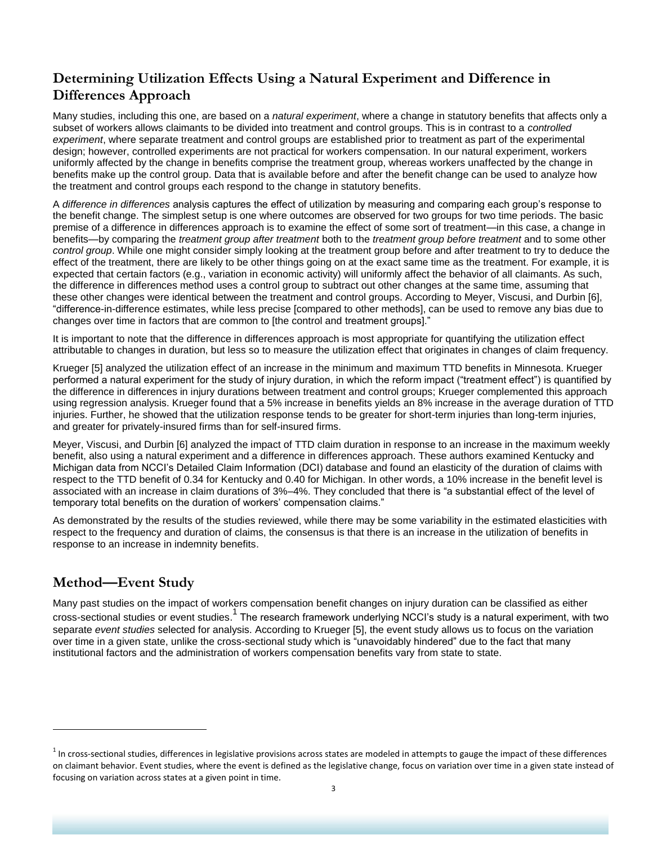# **Determining Utilization Effects Using a Natural Experiment and Difference in Differences Approach**

Many studies, including this one, are based on a *natural experiment*, where a change in statutory benefits that affects only a subset of workers allows claimants to be divided into treatment and control groups. This is in contrast to a *controlled experiment*, where separate treatment and control groups are established prior to treatment as part of the experimental design; however, controlled experiments are not practical for workers compensation. In our natural experiment, workers uniformly affected by the change in benefits comprise the treatment group, whereas workers unaffected by the change in benefits make up the control group. Data that is available before and after the benefit change can be used to analyze how the treatment and control groups each respond to the change in statutory benefits.

A *difference in differences* analysis captures the effect of utilization by measuring and comparing each group's response to the benefit change. The simplest setup is one where outcomes are observed for two groups for two time periods. The basic premise of a difference in differences approach is to examine the effect of some sort of treatment—in this case, a change in benefits—by comparing the *treatment group after treatment* both to the *treatment group before treatment* and to some other *control group*. While one might consider simply looking at the treatment group before and after treatment to try to deduce the effect of the treatment, there are likely to be other things going on at the exact same time as the treatment. For example, it is expected that certain factors (e.g., variation in economic activity) will uniformly affect the behavior of all claimants. As such, the difference in differences method uses a control group to subtract out other changes at the same time, assuming that these other changes were identical between the treatment and control groups. According to Meyer, Viscusi, and Durbin [6], ―difference-in-difference estimates, while less precise [compared to other methods], can be used to remove any bias due to changes over time in factors that are common to [the control and treatment groups].

It is important to note that the difference in differences approach is most appropriate for quantifying the utilization effect attributable to changes in duration, but less so to measure the utilization effect that originates in changes of claim frequency.

Krueger [5] analyzed the utilization effect of an increase in the minimum and maximum TTD benefits in Minnesota. Krueger performed a natural experiment for the study of injury duration, in which the reform impact ("treatment effect") is quantified by the difference in differences in injury durations between treatment and control groups; Krueger complemented this approach using regression analysis. Krueger found that a 5% increase in benefits yields an 8% increase in the average duration of TTD injuries. Further, he showed that the utilization response tends to be greater for short-term injuries than long-term injuries, and greater for privately-insured firms than for self-insured firms.

Meyer, Viscusi, and Durbin [6] analyzed the impact of TTD claim duration in response to an increase in the maximum weekly benefit, also using a natural experiment and a difference in differences approach. These authors examined Kentucky and Michigan data from NCCI's Detailed Claim Information (DCI) database and found an elasticity of the duration of claims with respect to the TTD benefit of 0.34 for Kentucky and 0.40 for Michigan. In other words, a 10% increase in the benefit level is associated with an increase in claim durations of 3%–4%. They concluded that there is "a substantial effect of the level of temporary total benefits on the duration of workers' compensation claims."

As demonstrated by the results of the studies reviewed, while there may be some variability in the estimated elasticities with respect to the frequency and duration of claims, the consensus is that there is an increase in the utilization of benefits in response to an increase in indemnity benefits.

# **Method—Event Study**

 $\overline{\phantom{a}}$ 

Many past studies on the impact of workers compensation benefit changes on injury duration can be classified as either cross-sectional studies or event studies.<sup>1</sup> The research framework underlying NCCI's study is a natural experiment, with two separate *event studies* selected for analysis. According to Krueger [5], the event study allows us to focus on the variation over time in a given state, unlike the cross-sectional study which is "unavoidably hindered" due to the fact that many institutional factors and the administration of workers compensation benefits vary from state to state.

 $1$ In cross-sectional studies, differences in legislative provisions across states are modeled in attempts to gauge the impact of these differences on claimant behavior. Event studies, where the event is defined as the legislative change, focus on variation over time in a given state instead of focusing on variation across states at a given point in time.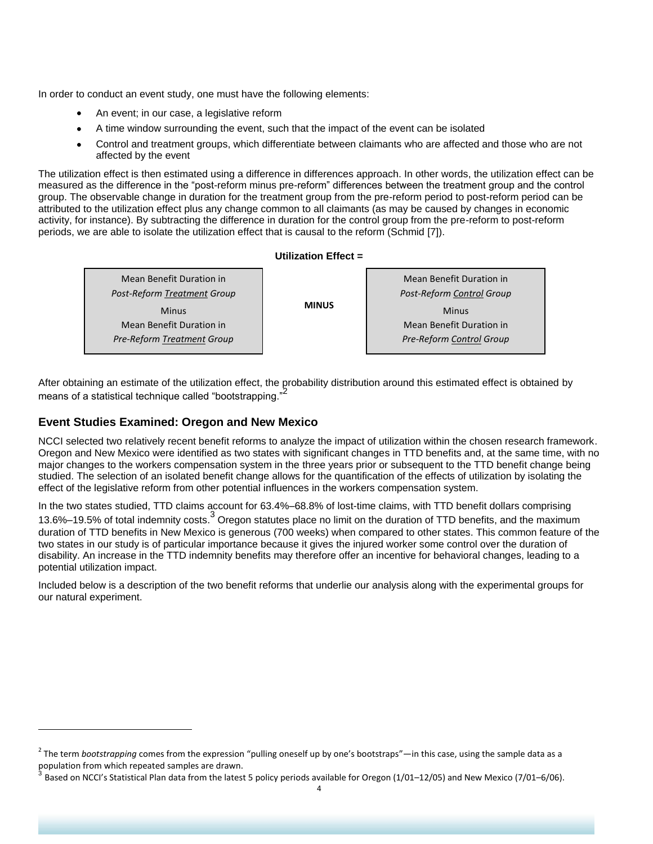In order to conduct an event study, one must have the following elements:

- An event; in our case, a legislative reform
- A time window surrounding the event, such that the impact of the event can be isolated
- Control and treatment groups, which differentiate between claimants who are affected and those who are not affected by the event

The utilization effect is then estimated using a difference in differences approach. In other words, the utilization effect can be measured as the difference in the "post-reform minus pre-reform" differences between the treatment group and the control group. The observable change in duration for the treatment group from the pre-reform period to post-reform period can be attributed to the utilization effect plus any change common to all claimants (as may be caused by changes in economic activity, for instance). By subtracting the difference in duration for the control group from the pre-reform to post-reform periods, we are able to isolate the utilization effect that is causal to the reform (Schmid [7]).

#### **Utilization Effect =**

| Mean Benefit Duration in           |  |
|------------------------------------|--|
| <b>Post-Reform Treatment Group</b> |  |
| <b>MINUS</b><br>Minus              |  |
| Mean Benefit Duration in           |  |
| Pre-Reform Treatment Group         |  |
|                                    |  |

Mean Benefit Duration in *Post-Reform Control Group* Minus Mean Benefit Duration in *Pre-Reform Control Group*

After obtaining an estimate of the utilization effect, the probability distribution around this estimated effect is obtained by means of a statistical technique called "bootstrapping."

#### **Event Studies Examined: Oregon and New Mexico**

 $\overline{\phantom{a}}$ 

NCCI selected two relatively recent benefit reforms to analyze the impact of utilization within the chosen research framework. Oregon and New Mexico were identified as two states with significant changes in TTD benefits and, at the same time, with no major changes to the workers compensation system in the three years prior or subsequent to the TTD benefit change being studied. The selection of an isolated benefit change allows for the quantification of the effects of utilization by isolating the effect of the legislative reform from other potential influences in the workers compensation system.

In the two states studied, TTD claims account for 63.4%–68.8% of lost-time claims, with TTD benefit dollars comprising 13.6%–19.5% of total indemnity costs.<sup>3</sup> Oregon statutes place no limit on the duration of TTD benefits, and the maximum duration of TTD benefits in New Mexico is generous (700 weeks) when compared to other states. This common feature of the two states in our study is of particular importance because it gives the injured worker some control over the duration of disability. An increase in the TTD indemnity benefits may therefore offer an incentive for behavioral changes, leading to a potential utilization impact.

Included below is a description of the two benefit reforms that underlie our analysis along with the experimental groups for our natural experiment.

<sup>&</sup>lt;sup>2</sup> The term *bootstrapping* comes from the expression "pulling oneself up by one's bootstraps"—in this case, using the sample data as a population from which repeated samples are drawn.

<sup>3</sup> Based on NCCI's Statistical Plan data from the latest 5 policy periods available for Oregon (1/01–12/05) and New Mexico (7/01–6/06).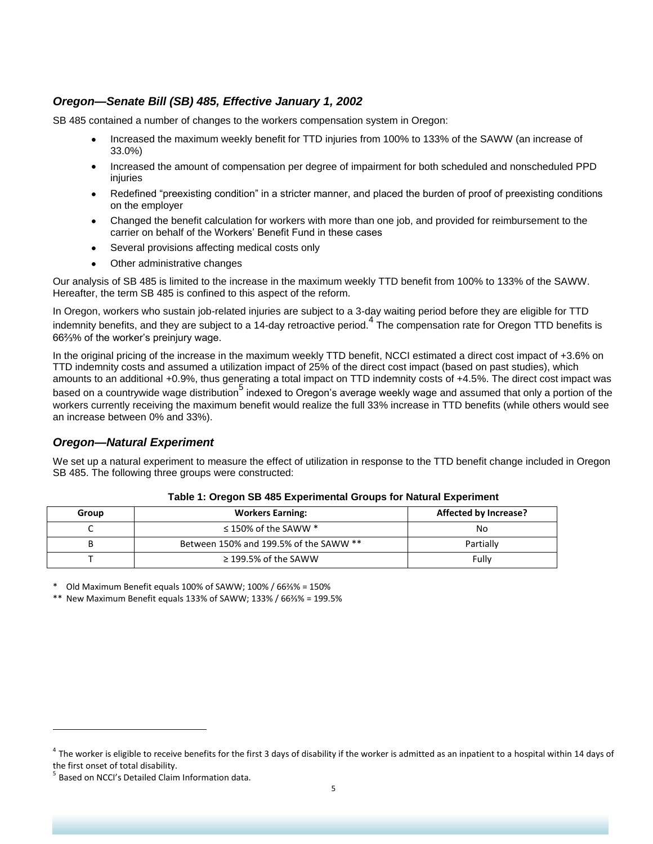### *Oregon—Senate Bill (SB) 485, Effective January 1, 2002*

SB 485 contained a number of changes to the workers compensation system in Oregon:

- Increased the maximum weekly benefit for TTD injuries from 100% to 133% of the SAWW (an increase of  $\bullet$ 33.0%)
- Increased the amount of compensation per degree of impairment for both scheduled and nonscheduled PPD injuries
- Redefined "preexisting condition" in a stricter manner, and placed the burden of proof of preexisting conditions on the employer
- Changed the benefit calculation for workers with more than one job, and provided for reimbursement to the carrier on behalf of the Workers' Benefit Fund in these cases
- Several provisions affecting medical costs only  $\bullet$
- Other administrative changes

Our analysis of SB 485 is limited to the increase in the maximum weekly TTD benefit from 100% to 133% of the SAWW. Hereafter, the term SB 485 is confined to this aspect of the reform.

In Oregon, workers who sustain job-related injuries are subject to a 3-day waiting period before they are eligible for TTD indemnity benefits, and they are subject to a 14-day retroactive period.<sup>4</sup> The compensation rate for Oregon TTD benefits is 66⅔% of the worker's preinjury wage.

In the original pricing of the increase in the maximum weekly TTD benefit, NCCI estimated a direct cost impact of +3.6% on TTD indemnity costs and assumed a utilization impact of 25% of the direct cost impact (based on past studies), which amounts to an additional +0.9%, thus generating a total impact on TTD indemnity costs of +4.5%. The direct cost impact was based on a countrywide wage distribution<sup>5</sup> indexed to Oregon's average weekly wage and assumed that only a portion of the workers currently receiving the maximum benefit would realize the full 33% increase in TTD benefits (while others would see an increase between 0% and 33%).

#### *Oregon—Natural Experiment*

We set up a natural experiment to measure the effect of utilization in response to the TTD benefit change included in Oregon SB 485. The following three groups were constructed:

| Group | <b>Workers Earning:</b>                | Affected by Increase? |
|-------|----------------------------------------|-----------------------|
|       | $\leq$ 150% of the SAWW $*$            | No                    |
| в     | Between 150% and 199.5% of the SAWW ** | Partially             |
|       | $\geq$ 199.5% of the SAWW              | Fully                 |

#### **Table 1: Oregon SB 485 Experimental Groups for Natural Experiment**

\* Old Maximum Benefit equals 100% of SAWW; 100% / 66⅔% = 150%

\*\* New Maximum Benefit equals 133% of SAWW; 133% / 66⅔% = 199.5%

 $\overline{\phantom{a}}$ 

 $^4$  The worker is eligible to receive benefits for the first 3 days of disability if the worker is admitted as an inpatient to a hospital within 14 days of the first onset of total disability.

<sup>&</sup>lt;sup>5</sup> Based on NCCI's Detailed Claim Information data.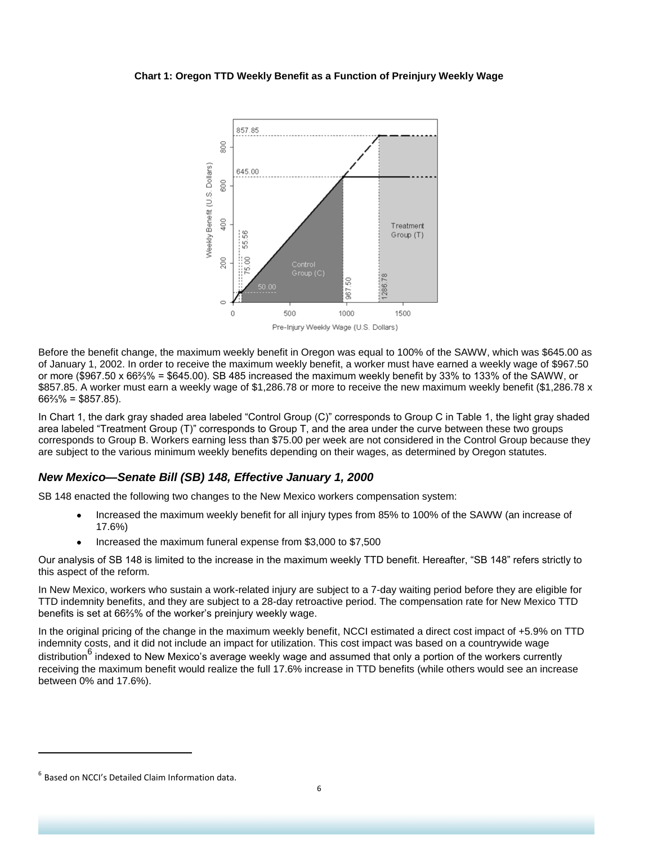#### **Chart 1: Oregon TTD Weekly Benefit as a Function of Preinjury Weekly Wage**



Before the benefit change, the maximum weekly benefit in Oregon was equal to 100% of the SAWW, which was \$645.00 as of January 1, 2002. In order to receive the maximum weekly benefit, a worker must have earned a weekly wage of \$967.50 or more (\$967.50 x 66⅔% = \$645.00). SB 485 increased the maximum weekly benefit by 33% to 133% of the SAWW, or \$857.85. A worker must earn a weekly wage of \$1,286.78 or more to receive the new maximum weekly benefit (\$1,286.78 x  $66\frac{2}{9}\% = $857.85$ ).

In Chart 1, the dark gray shaded area labeled "Control Group (C)" corresponds to Group C in Table 1, the light gray shaded area labeled "Treatment Group (T)" corresponds to Group T, and the area under the curve between these two groups corresponds to Group B. Workers earning less than \$75.00 per week are not considered in the Control Group because they are subject to the various minimum weekly benefits depending on their wages, as determined by Oregon statutes.

### *New Mexico—Senate Bill (SB) 148, Effective January 1, 2000*

SB 148 enacted the following two changes to the New Mexico workers compensation system:

- Increased the maximum weekly benefit for all injury types from 85% to 100% of the SAWW (an increase of 17.6%)
- Increased the maximum funeral expense from \$3,000 to \$7,500

Our analysis of SB 148 is limited to the increase in the maximum weekly TTD benefit. Hereafter, "SB 148" refers strictly to this aspect of the reform.

In New Mexico, workers who sustain a work-related injury are subject to a 7-day waiting period before they are eligible for TTD indemnity benefits, and they are subject to a 28-day retroactive period. The compensation rate for New Mexico TTD benefits is set at 66⅔% of the worker's preinjury weekly wage.

In the original pricing of the change in the maximum weekly benefit, NCCI estimated a direct cost impact of +5.9% on TTD indemnity costs, and it did not include an impact for utilization. This cost impact was based on a countrywide wage distribution<sup>6</sup> indexed to New Mexico's average weekly wage and assumed that only a portion of the workers currently receiving the maximum benefit would realize the full 17.6% increase in TTD benefits (while others would see an increase between 0% and 17.6%).

 $\overline{\phantom{a}}$ 

 $<sup>6</sup>$  Based on NCCI's Detailed Claim Information data.</sup>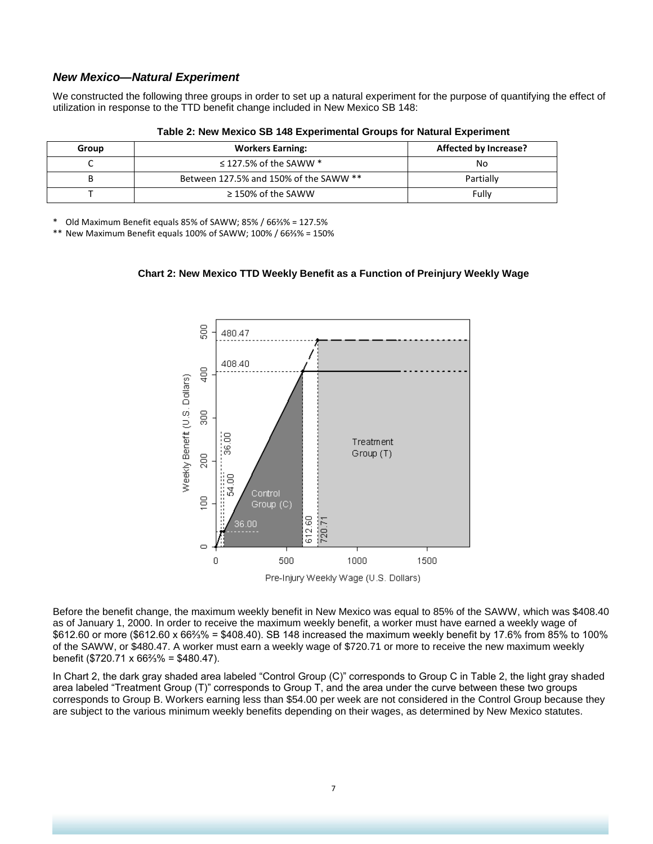#### *New Mexico—Natural Experiment*

We constructed the following three groups in order to set up a natural experiment for the purpose of quantifying the effect of utilization in response to the TTD benefit change included in New Mexico SB 148:

| Group | <b>Workers Earning:</b>                | <b>Affected by Increase?</b> |
|-------|----------------------------------------|------------------------------|
| ֊     | $\leq$ 127.5% of the SAWW $*$          | No                           |
|       | Between 127.5% and 150% of the SAWW ** | Partially                    |
|       | $\geq$ 150% of the SAWW                | Fully                        |

**Table 2: New Mexico SB 148 Experimental Groups for Natural Experiment**

\* Old Maximum Benefit equals 85% of SAWW; 85% / 66⅔% = 127.5%

\*\* New Maximum Benefit equals 100% of SAWW; 100% / 66⅔% = 150%





Pre-Injury Weekly Wage (U.S. Dollars)

Before the benefit change, the maximum weekly benefit in New Mexico was equal to 85% of the SAWW, which was \$408.40 as of January 1, 2000. In order to receive the maximum weekly benefit, a worker must have earned a weekly wage of \$612.60 or more (\$612.60 x 66⅔% = \$408.40). SB 148 increased the maximum weekly benefit by 17.6% from 85% to 100% of the SAWW, or \$480.47. A worker must earn a weekly wage of \$720.71 or more to receive the new maximum weekly benefit (\$720.71 x 66⅔% = \$480.47).

In Chart 2, the dark gray shaded area labeled "Control Group  $(C)$ " corresponds to Group C in Table 2, the light gray shaded area labeled "Treatment Group (T)" corresponds to Group T, and the area under the curve between these two groups corresponds to Group B. Workers earning less than \$54.00 per week are not considered in the Control Group because they are subject to the various minimum weekly benefits depending on their wages, as determined by New Mexico statutes.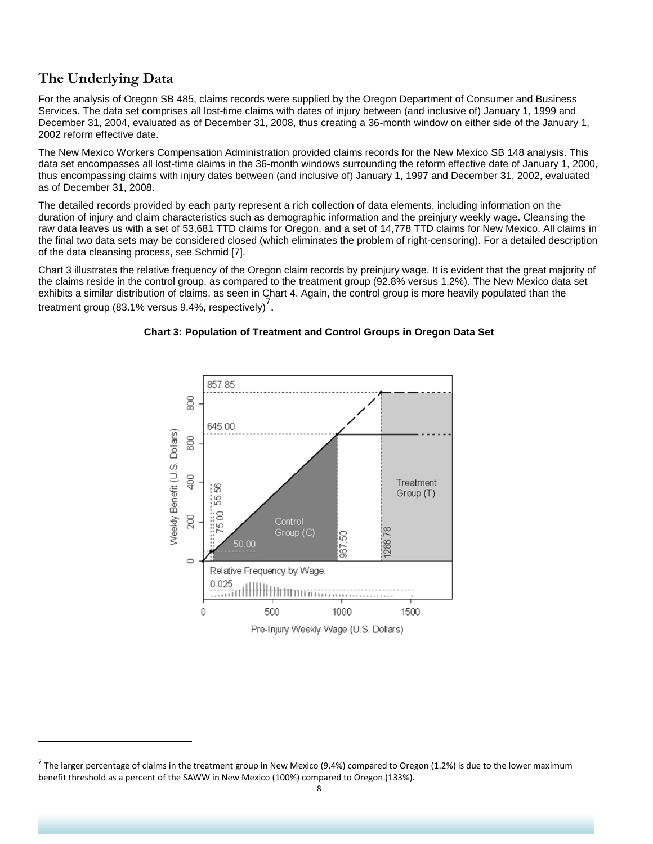# **The Underlying Data**

l

For the analysis of Oregon SB 485, claims records were supplied by the Oregon Department of Consumer and Business Services. The data set comprises all lost-time claims with dates of injury between (and inclusive of) January 1, 1999 and December 31, 2004, evaluated as of December 31, 2008, thus creating a 36-month window on either side of the January 1, 2002 reform effective date.

The New Mexico Workers Compensation Administration provided claims records for the New Mexico SB 148 analysis. This data set encompasses all lost-time claims in the 36-month windows surrounding the reform effective date of January 1, 2000, thus encompassing claims with injury dates between (and inclusive of) January 1, 1997 and December 31, 2002, evaluated as of December 31, 2008.

The detailed records provided by each party represent a rich collection of data elements, including information on the duration of injury and claim characteristics such as demographic information and the preinjury weekly wage. Cleansing the raw data leaves us with a set of 53,681 TTD claims for Oregon, and a set of 14,778 TTD claims for New Mexico. All claims in the final two data sets may be considered closed (which eliminates the problem of right-censoring). For a detailed description of the data cleansing process, see Schmid [7].

Chart 3 illustrates the relative frequency of the Oregon claim records by preinjury wage. It is evident that the great majority of the claims reside in the control group, as compared to the treatment group (92.8% versus 1.2%). The New Mexico data set exhibits a similar distribution of claims, as seen in Chart 4. Again, the control group is more heavily populated than the treatment group (83.1% versus 9.4%, respectively)<sup>7</sup>.



#### **Chart 3: Population of Treatment and Control Groups in Oregon Data Set**

<sup>&</sup>lt;sup>7</sup> The larger percentage of claims in the treatment group in New Mexico (9.4%) compared to Oregon (1.2%) is due to the lower maximum benefit threshold as a percent of the SAWW in New Mexico (100%) compared to Oregon (133%).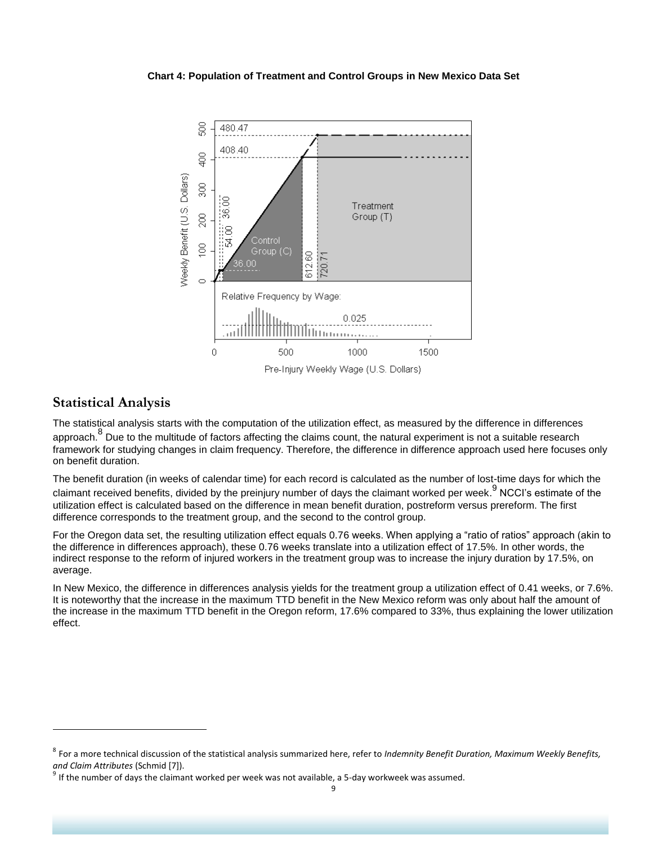#### **Chart 4: Population of Treatment and Control Groups in New Mexico Data Set**



### **Statistical Analysis**

 $\overline{\phantom{a}}$ 

The statistical analysis starts with the computation of the utilization effect, as measured by the difference in differences approach.<sup>8</sup> Due to the multitude of factors affecting the claims count, the natural experiment is not a suitable research framework for studying changes in claim frequency. Therefore, the difference in difference approach used here focuses only on benefit duration.

The benefit duration (in weeks of calendar time) for each record is calculated as the number of lost-time days for which the claimant received benefits, divided by the preinjury number of days the claimant worked per week.<sup>9</sup> NCCI's estimate of the utilization effect is calculated based on the difference in mean benefit duration, postreform versus prereform. The first difference corresponds to the treatment group, and the second to the control group.

For the Oregon data set, the resulting utilization effect equals 0.76 weeks. When applying a "ratio of ratios" approach (akin to the difference in differences approach), these 0.76 weeks translate into a utilization effect of 17.5%. In other words, the indirect response to the reform of injured workers in the treatment group was to increase the injury duration by 17.5%, on average.

In New Mexico, the difference in differences analysis yields for the treatment group a utilization effect of 0.41 weeks, or 7.6%. It is noteworthy that the increase in the maximum TTD benefit in the New Mexico reform was only about half the amount of the increase in the maximum TTD benefit in the Oregon reform, 17.6% compared to 33%, thus explaining the lower utilization effect.

<sup>8</sup> For a more technical discussion of the statistical analysis summarized here, refer to *Indemnity Benefit Duration, Maximum Weekly Benefits, and Claim Attributes* (Schmid [7]).

 $9$  If the number of days the claimant worked per week was not available, a 5-day workweek was assumed.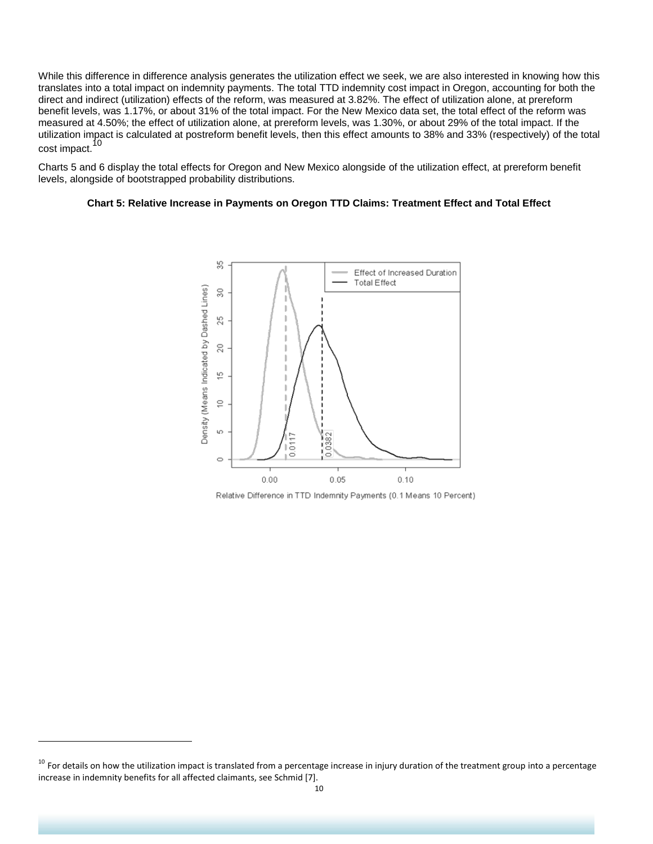While this difference in difference analysis generates the utilization effect we seek, we are also interested in knowing how this translates into a total impact on indemnity payments. The total TTD indemnity cost impact in Oregon, accounting for both the direct and indirect (utilization) effects of the reform, was measured at 3.82%. The effect of utilization alone, at prereform benefit levels, was 1.17%, or about 31% of the total impact. For the New Mexico data set, the total effect of the reform was measured at 4.50%; the effect of utilization alone, at prereform levels, was 1.30%, or about 29% of the total impact. If the utilization impact is calculated at postreform benefit levels, then this effect amounts to 38% and 33% (respectively) of the total cost impact.<sup>10</sup>

Charts 5 and 6 display the total effects for Oregon and New Mexico alongside of the utilization effect, at prereform benefit levels, alongside of bootstrapped probability distributions.

#### **Chart 5: Relative Increase in Payments on Oregon TTD Claims: Treatment Effect and Total Effect**



Relative Difference in TTD Indemnity Payments (0.1 Means 10 Percent)

l

<sup>&</sup>lt;sup>10</sup> For details on how the utilization impact is translated from a percentage increase in injury duration of the treatment group into a percentage increase in indemnity benefits for all affected claimants, see Schmid [7].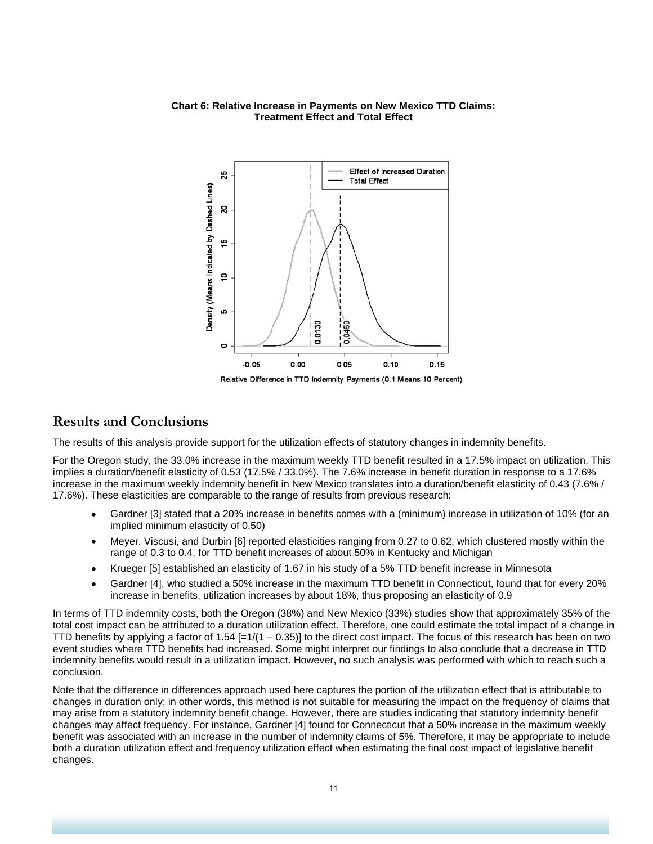#### **Chart 6: Relative Increase in Payments on New Mexico TTD Claims: Treatment Effect and Total Effect**



## **Results and Conclusions**

The results of this analysis provide support for the utilization effects of statutory changes in indemnity benefits.

For the Oregon study, the 33.0% increase in the maximum weekly TTD benefit resulted in a 17.5% impact on utilization. This implies a duration/benefit elasticity of 0.53 (17.5% / 33.0%). The 7.6% increase in benefit duration in response to a 17.6% increase in the maximum weekly indemnity benefit in New Mexico translates into a duration/benefit elasticity of 0.43 (7.6% / 17.6%). These elasticities are comparable to the range of results from previous research:

- Gardner [3] stated that a 20% increase in benefits comes with a (minimum) increase in utilization of 10% (for an implied minimum elasticity of 0.50)
- Meyer, Viscusi, and Durbin [6] reported elasticities ranging from 0.27 to 0.62, which clustered mostly within the  $\bullet$ range of 0.3 to 0.4, for TTD benefit increases of about 50% in Kentucky and Michigan
- Krueger [5] established an elasticity of 1.67 in his study of a 5% TTD benefit increase in Minnesota  $\bullet$
- Gardner [4], who studied a 50% increase in the maximum TTD benefit in Connecticut, found that for every 20% increase in benefits, utilization increases by about 18%, thus proposing an elasticity of 0.9

In terms of TTD indemnity costs, both the Oregon (38%) and New Mexico (33%) studies show that approximately 35% of the total cost impact can be attributed to a duration utilization effect. Therefore, one could estimate the total impact of a change in TTD benefits by applying a factor of  $1.54$  [= $1/(1 - 0.35)$ ] to the direct cost impact. The focus of this research has been on two event studies where TTD benefits had increased. Some might interpret our findings to also conclude that a decrease in TTD indemnity benefits would result in a utilization impact. However, no such analysis was performed with which to reach such a conclusion.

Note that the difference in differences approach used here captures the portion of the utilization effect that is attributable to changes in duration only; in other words, this method is not suitable for measuring the impact on the frequency of claims that may arise from a statutory indemnity benefit change. However, there are studies indicating that statutory indemnity benefit changes may affect frequency. For instance, Gardner [4] found for Connecticut that a 50% increase in the maximum weekly benefit was associated with an increase in the number of indemnity claims of 5%. Therefore, it may be appropriate to include both a duration utilization effect and frequency utilization effect when estimating the final cost impact of legislative benefit changes.